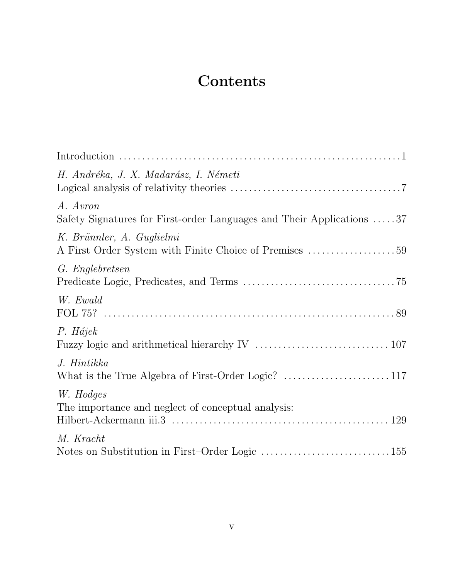## Contents

| H. Andréka, J. X. Madarász, I. Németi                                               |
|-------------------------------------------------------------------------------------|
| A. Avron<br>Safety Signatures for First-order Languages and Their Applications 37   |
| K. Brünnler, A. Guglielmi<br>A First Order System with Finite Choice of Premises 59 |
| G. Englebretsen                                                                     |
| W. Ewald                                                                            |
| P. Hájek                                                                            |
| J. Hintikka                                                                         |
| W. Hodges<br>The importance and neglect of conceptual analysis:                     |
| M. Kracht<br>Notes on Substitution in First-Order Logic 155                         |